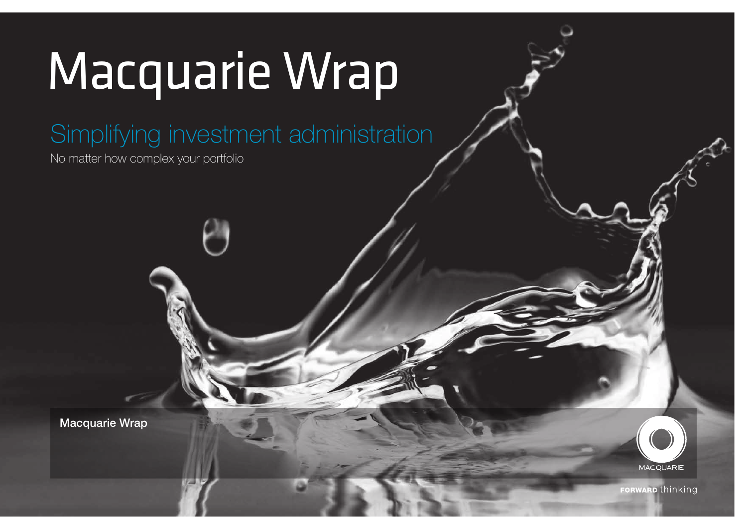# Macquarie Wrap

Simplifying investment administration

No matter how complex your portfolio

Macquarie Wrap

**MACQUARIE** 

**FORWARD thinking**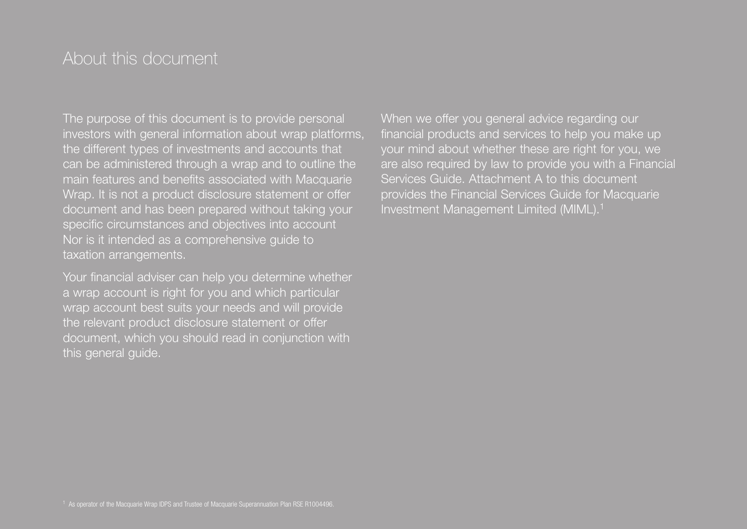## About this document

The purpose of this document is to provide personal investors with general information about wrap platforms, the different types of investments and accounts that can be administered through a wrap and to outline the main features and benefits associated with Macquarie Wrap. It is not a product disclosure statement or offer document and has been prepared without taking your specific circumstances and objectives into account Nor is it intended as a comprehensive guide to taxation arrangements.

Your financial adviser can help you determine whether a wrap account is right for you and which particular wrap account best suits your needs and will provide the relevant product disclosure statement or offer document, which you should read in conjunction with this general guide.

When we offer you general advice regarding our financial products and services to help you make up your mind about whether these are right for you, we are also required by law to provide you with a Financial Services Guide. Attachment A to this document provides the Financial Services Guide for Macquarie Investment Management Limited (MIML).<sup>1</sup>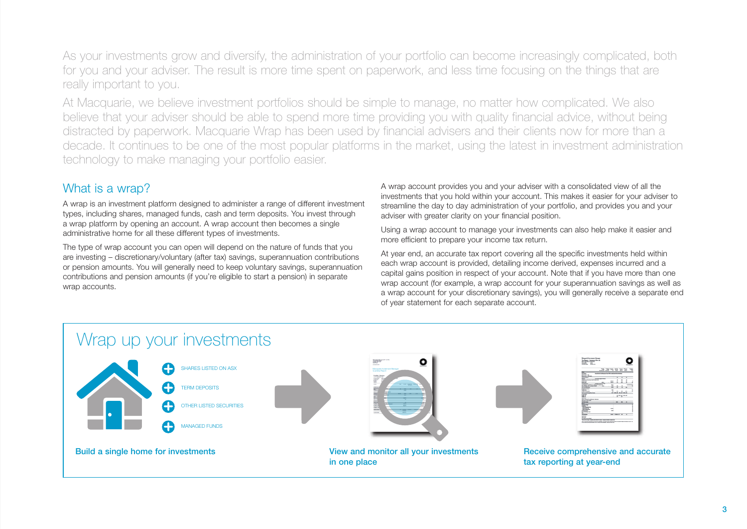As your investments grow and diversify, the administration of your portfolio can become increasingly complicated, both for you and your adviser. The result is more time spent on paperwork, and less time focusing on the things that are really important to you.

At Macquarie, we believe investment portfolios should be simple to manage, no matter how complicated. We also believe that your adviser should be able to spend more time providing you with quality financial advice, without being distracted by paperwork. Macquarie Wrap has been used by financial advisers and their clients now for more than a decade. It continues to be one of the most popular platforms in the market, using the latest in investment administration technology to make managing your portfolio easier.

## What is a wrap?

A wrap is an investment platform designed to administer a range of different investment types, including shares, managed funds, cash and term deposits. You invest through a wrap platform by opening an account. A wrap account then becomes a single administrative home for all these different types of investments.

The type of wrap account you can open will depend on the nature of funds that you are investing – discretionary/voluntary (after tax) savings, superannuation contributions or pension amounts. You will generally need to keep voluntary savings, superannuation contributions and pension amounts (if you're eligible to start a pension) in separate wrap accounts.

A wrap account provides you and your adviser with a consolidated view of all the investments that you hold within your account. This makes it easier for your adviser to streamline the day to day administration of your portfolio, and provides you and your adviser with greater clarity on your financial position.

Using a wrap account to manage your investments can also help make it easier and more efficient to prepare your income tax return.

At year end, an accurate tax report covering all the specific investments held within each wrap account is provided, detailing income derived, expenses incurred and a capital gains position in respect of your account. Note that if you have more than one wrap account (for example, a wrap account for your superannuation savings as well as a wrap account for your discretionary savings), you will generally receive a separate end of year statement for each separate account.

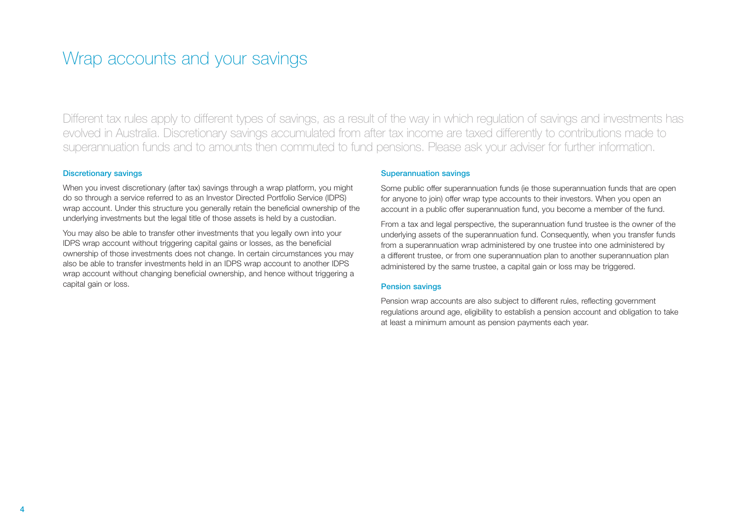## Wrap accounts and your savings

Different tax rules apply to different types of savings, as a result of the way in which regulation of savings and investments has evolved in Australia. Discretionary savings accumulated from after tax income are taxed differently to contributions made to superannuation funds and to amounts then commuted to fund pensions. Please ask your adviser for further information.

#### Discretionary savings

When you invest discretionary (after tax) savings through a wrap platform, you might do so through a service referred to as an Investor Directed Portfolio Service (IDPS) wrap account. Under this structure you generally retain the beneficial ownership of the underlying investments but the legal title of those assets is held by a custodian.

You may also be able to transfer other investments that you legally own into your IDPS wrap account without triggering capital gains or losses, as the beneficial ownership of those investments does not change. In certain circumstances you may also be able to transfer investments held in an IDPS wrap account to another IDPS wrap account without changing beneficial ownership, and hence without triggering a capital gain or loss.

#### Superannuation savings

Some public offer superannuation funds (ie those superannuation funds that are open for anyone to join) offer wrap type accounts to their investors. When you open an account in a public offer superannuation fund, you become a member of the fund.

From a tax and legal perspective, the superannuation fund trustee is the owner of the underlying assets of the superannuation fund. Consequently, when you transfer funds from a superannuation wrap administered by one trustee into one administered by a different trustee, or from one superannuation plan to another superannuation plan administered by the same trustee, a capital gain or loss may be triggered.

#### Pension savings

Pension wrap accounts are also subject to different rules, reflecting government regulations around age, eligibility to establish a pension account and obligation to take at least a minimum amount as pension payments each year.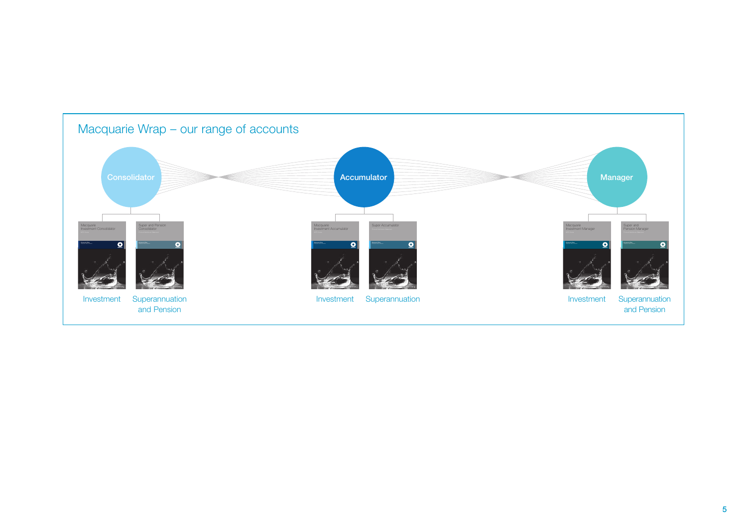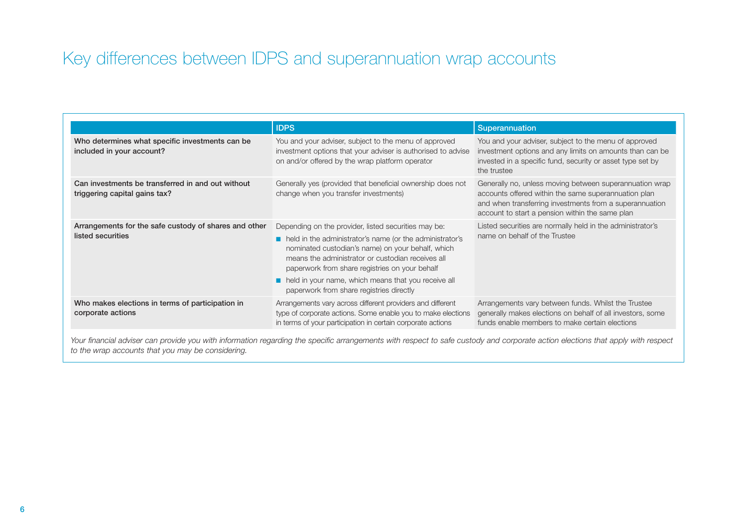## Key differences between IDPS and superannuation wrap accounts

|                                                                                    | <b>IDPS</b>                                                                                                                                                                                                                                                                                                                                                                            | Superannuation                                                                                                                                                                                                                |
|------------------------------------------------------------------------------------|----------------------------------------------------------------------------------------------------------------------------------------------------------------------------------------------------------------------------------------------------------------------------------------------------------------------------------------------------------------------------------------|-------------------------------------------------------------------------------------------------------------------------------------------------------------------------------------------------------------------------------|
| Who determines what specific investments can be<br>included in your account?       | You and your adviser, subject to the menu of approved<br>investment options that your adviser is authorised to advise<br>on and/or offered by the wrap platform operator                                                                                                                                                                                                               | You and your adviser, subject to the menu of approved<br>investment options and any limits on amounts than can be<br>invested in a specific fund, security or asset type set by<br>the trustee                                |
| Can investments be transferred in and out without<br>triggering capital gains tax? | Generally yes (provided that beneficial ownership does not<br>change when you transfer investments)                                                                                                                                                                                                                                                                                    | Generally no, unless moving between superannuation wrap<br>accounts offered within the same superannuation plan<br>and when transferring investments from a superannuation<br>account to start a pension within the same plan |
| Arrangements for the safe custody of shares and other<br>listed securities         | Depending on the provider, listed securities may be:<br>lacker held in the administrator's name (or the administrator's<br>nominated custodian's name) on your behalf, which<br>means the administrator or custodian receives all<br>paperwork from share registries on your behalf<br>held in your name, which means that you receive all<br>paperwork from share registries directly | Listed securities are normally held in the administrator's<br>name on behalf of the Trustee                                                                                                                                   |
| Who makes elections in terms of participation in<br>corporate actions              | Arrangements vary across different providers and different<br>type of corporate actions. Some enable you to make elections<br>in terms of your participation in certain corporate actions                                                                                                                                                                                              | Arrangements vary between funds. Whilst the Trustee<br>generally makes elections on behalf of all investors, some<br>funds enable members to make certain elections                                                           |

Your financial adviser can provide you with information regarding the specific arrangements with respect to safe custody and corporate action elections that apply with respect *to the wrap accounts that you may be considering.*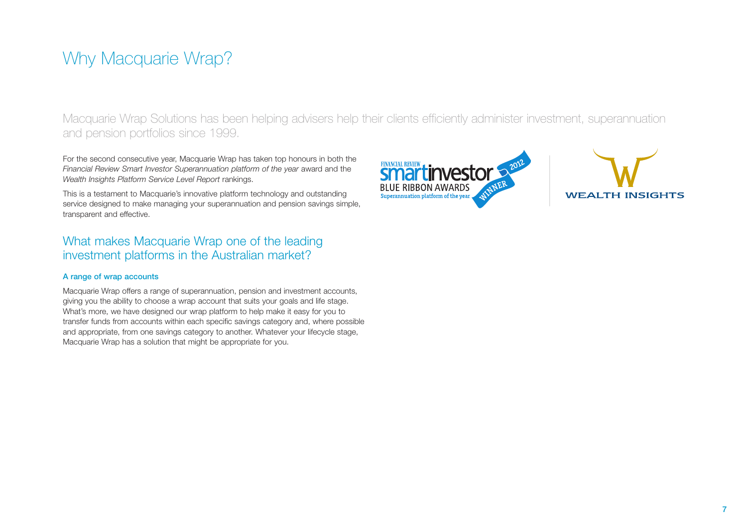# Why Macquarie Wrap?

Macquarie Wrap Solutions has been helping advisers help their clients efficiently administer investment, superannuation and pension portfolios since 1999.

For the second consecutive year, Macquarie Wrap has taken top honours in both the *Financial Review Smart Investor Superannuation platform of the year* award and the *Wealth Insights Platform Service Level Report* rankings.

This is a testament to Macquarie's innovative platform technology and outstanding service designed to make managing your superannuation and pension savings simple, transparent and effective.

## What makes Macquarie Wrap one of the leading investment platforms in the Australian market?

#### A range of wrap accounts

Macquarie Wrap offers a range of superannuation, pension and investment accounts, giving you the ability to choose a wrap account that suits your goals and life stage. What's more, we have designed our wrap platform to help make it easy for you to transfer funds from accounts within each specific savings category and, where possible and appropriate, from one savings category to another. Whatever your lifecycle stage, Macquarie Wrap has a solution that might be appropriate for you.



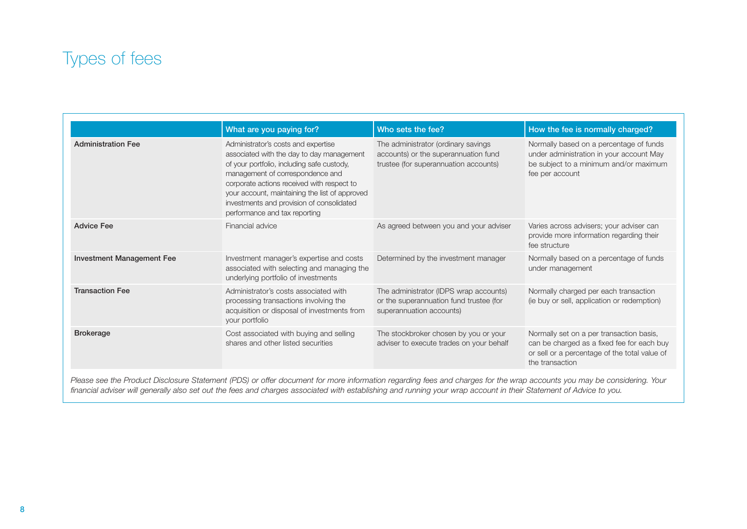## Types of fees

|                                  | What are you paying for?                                                                                                                                                                                                                                                                                                                         | Who sets the fee?                                                                                                    | How the fee is normally charged?                                                                                                                           |
|----------------------------------|--------------------------------------------------------------------------------------------------------------------------------------------------------------------------------------------------------------------------------------------------------------------------------------------------------------------------------------------------|----------------------------------------------------------------------------------------------------------------------|------------------------------------------------------------------------------------------------------------------------------------------------------------|
| <b>Administration Fee</b>        | Administrator's costs and expertise<br>associated with the day to day management<br>of your portfolio, including safe custody,<br>management of correspondence and<br>corporate actions received with respect to<br>your account, maintaining the list of approved<br>investments and provision of consolidated<br>performance and tax reporting | The administrator (ordinary savings<br>accounts) or the superannuation fund<br>trustee (for superannuation accounts) | Normally based on a percentage of funds<br>under administration in your account May<br>be subject to a minimum and/or maximum<br>fee per account           |
| <b>Advice Fee</b>                | Financial advice                                                                                                                                                                                                                                                                                                                                 | As agreed between you and your adviser                                                                               | Varies across advisers; your adviser can<br>provide more information regarding their<br>fee structure                                                      |
| <b>Investment Management Fee</b> | Investment manager's expertise and costs<br>associated with selecting and managing the<br>underlying portfolio of investments                                                                                                                                                                                                                    | Determined by the investment manager                                                                                 | Normally based on a percentage of funds<br>under management                                                                                                |
| <b>Transaction Fee</b>           | Administrator's costs associated with<br>processing transactions involving the<br>acquisition or disposal of investments from<br>your portfolio                                                                                                                                                                                                  | The administrator (IDPS wrap accounts)<br>or the superannuation fund trustee (for<br>superannuation accounts)        | Normally charged per each transaction<br>(ie buy or sell, application or redemption)                                                                       |
| <b>Brokerage</b>                 | Cost associated with buying and selling<br>shares and other listed securities                                                                                                                                                                                                                                                                    | The stockbroker chosen by you or your<br>adviser to execute trades on your behalf                                    | Normally set on a per transaction basis,<br>can be charged as a fixed fee for each buy<br>or sell or a percentage of the total value of<br>the transaction |

*Please see the Product Disclosure Statement (PDS) or offer document for more information regarding fees and charges for the wrap accounts you may be considering. Your financial adviser will generally also set out the fees and charges associated with establishing and running your wrap account in their Statement of Advice to you.*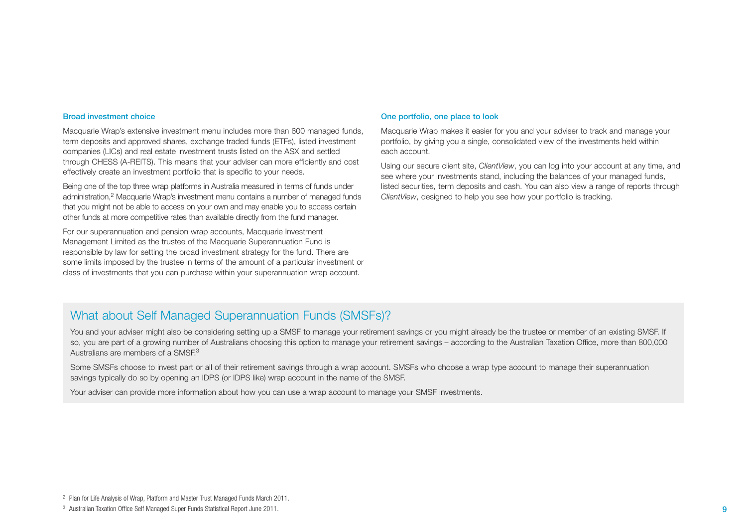#### Broad investment choice

Macquarie Wrap's extensive investment menu includes more than 600 managed funds, term deposits and approved shares, exchange traded funds (ETFs), listed investment companies (LICs) and real estate investment trusts listed on the ASX and settled through CHESS (A-REITS). This means that your adviser can more efficiently and cost effectively create an investment portfolio that is specific to your needs.

Being one of the top three wrap platforms in Australia measured in terms of funds under administration,2 Macquarie Wrap's investment menu contains a number of managed funds that you might not be able to access on your own and may enable you to access certain other funds at more competitive rates than available directly from the fund manager.

For our superannuation and pension wrap accounts, Macquarie Investment Management Limited as the trustee of the Macquarie Superannuation Fund is responsible by law for setting the broad investment strategy for the fund. There are some limits imposed by the trustee in terms of the amount of a particular investment or class of investments that you can purchase within your superannuation wrap account.

#### One portfolio, one place to look

Macquarie Wrap makes it easier for you and your adviser to track and manage your portfolio, by giving you a single, consolidated view of the investments held within each account.

Using our secure client site, *ClientView*, you can log into your account at any time, and see where your investments stand, including the balances of your managed funds, listed securities, term deposits and cash. You can also view a range of reports through *ClientView*, designed to help you see how your portfolio is tracking.

## What about Self Managed Superannuation Funds (SMSFs)?

You and your adviser might also be considering setting up a SMSF to manage your retirement savings or you might already be the trustee or member of an existing SMSF. If so, you are part of a growing number of Australians choosing this option to manage your retirement savings – according to the Australian Taxation Office, more than 800,000 Australians are members of a SMSE<sup>3</sup>

Some SMSFs choose to invest part or all of their retirement savings through a wrap account. SMSFs who choose a wrap type account to manage their superannuation savings typically do so by opening an IDPS (or IDPS like) wrap account in the name of the SMSF.

Your adviser can provide more information about how you can use a wrap account to manage your SMSF investments.

<sup>2</sup> Plan for Life Analysis of Wrap, Platform and Master Trust Managed Funds March 2011.

<sup>3</sup> Australian Taxation Office Self Managed Super Funds Statistical Report June 2011.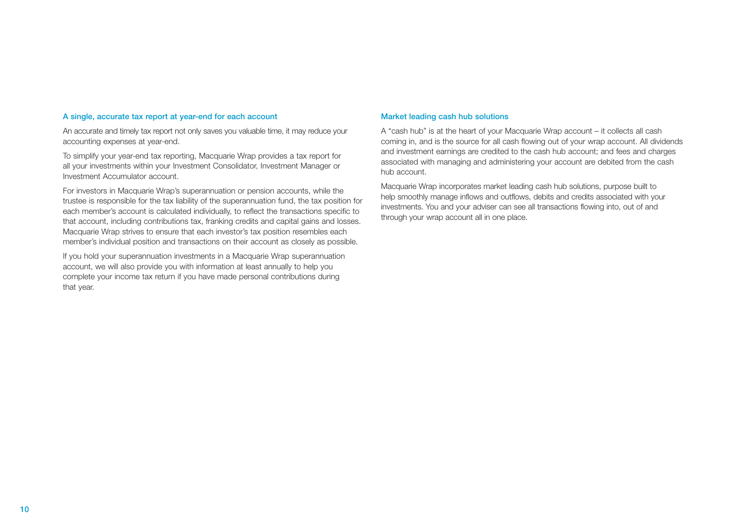#### A single, accurate tax report at year-end for each account

An accurate and timely tax report not only saves you valuable time, it may reduce your accounting expenses at year-end.

To simplify your year-end tax reporting, Macquarie Wrap provides a tax report for all your investments within your Investment Consolidator, Investment Manager or Investment Accumulator account.

For investors in Macquarie Wrap's superannuation or pension accounts, while the trustee is responsible for the tax liability of the superannuation fund, the tax position for each member's account is calculated individually, to reflect the transactions specific to that account, including contributions tax, franking credits and capital gains and losses. Macquarie Wrap strives to ensure that each investor's tax position resembles each member's individual position and transactions on their account as closely as possible.

If you hold your superannuation investments in a Macquarie Wrap superannuation account, we will also provide you with information at least annually to help you complete your income tax return if you have made personal contributions during that year.

#### Market leading cash hub solutions

A "cash hub" is at the heart of your Macquarie Wrap account – it collects all cash coming in, and is the source for all cash flowing out of your wrap account. All dividends and investment earnings are credited to the cash hub account; and fees and charges associated with managing and administering your account are debited from the cash hub account.

Macquarie Wrap incorporates market leading cash hub solutions, purpose built to help smoothly manage inflows and outflows, debits and credits associated with your investments. You and your adviser can see all transactions flowing into, out of and through your wrap account all in one place.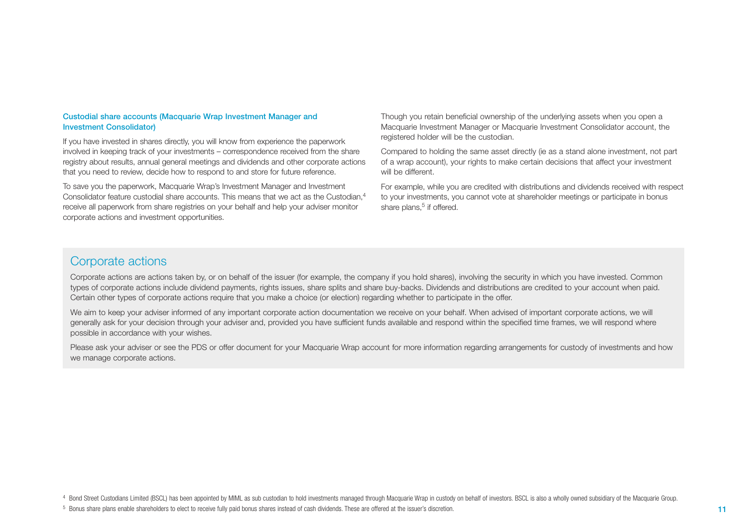#### Custodial share accounts (Macquarie Wrap Investment Manager and Investment Consolidator)

If you have invested in shares directly, you will know from experience the paperwork involved in keeping track of your investments – correspondence received from the share registry about results, annual general meetings and dividends and other corporate actions that you need to review, decide how to respond to and store for future reference.

To save you the paperwork, Macquarie Wrap's Investment Manager and Investment Consolidator feature custodial share accounts. This means that we act as the Custodian.<sup>4</sup> receive all paperwork from share registries on your behalf and help your adviser monitor corporate actions and investment opportunities.

Though you retain beneficial ownership of the underlying assets when you open a Macquarie Investment Manager or Macquarie Investment Consolidator account, the registered holder will be the custodian.

Compared to holding the same asset directly (ie as a stand alone investment, not part of a wrap account), your rights to make certain decisions that affect your investment will be different.

For example, while you are credited with distributions and dividends received with respect to your investments, you cannot vote at shareholder meetings or participate in bonus share plans, $5$  if offered.

### Corporate actions

Corporate actions are actions taken by, or on behalf of the issuer (for example, the company if you hold shares), involving the security in which you have invested. Common types of corporate actions include dividend payments, rights issues, share splits and share buy-backs. Dividends and distributions are credited to your account when paid. Certain other types of corporate actions require that you make a choice (or election) regarding whether to participate in the offer.

We aim to keep your adviser informed of any important corporate action documentation we receive on your behalf. When advised of important corporate actions, we will generally ask for your decision through your adviser and, provided you have sufficient funds available and respond within the specified time frames, we will respond where possible in accordance with your wishes.

Please ask your adviser or see the PDS or offer document for your Macquarie Wrap account for more information regarding arrangements for custody of investments and how we manage corporate actions.

4 Bond Street Custodians Limited (BSCL) has been appointed by MIML as sub custodian to hold investments managed through Macquarie Wrap in custody on behalf of investors. BSCL is also a wholly owned subsidiary of the Macqua

<sup>5</sup> Bonus share plans enable shareholders to elect to receive fully paid bonus shares instead of cash dividends. These are offered at the issuer's discretion.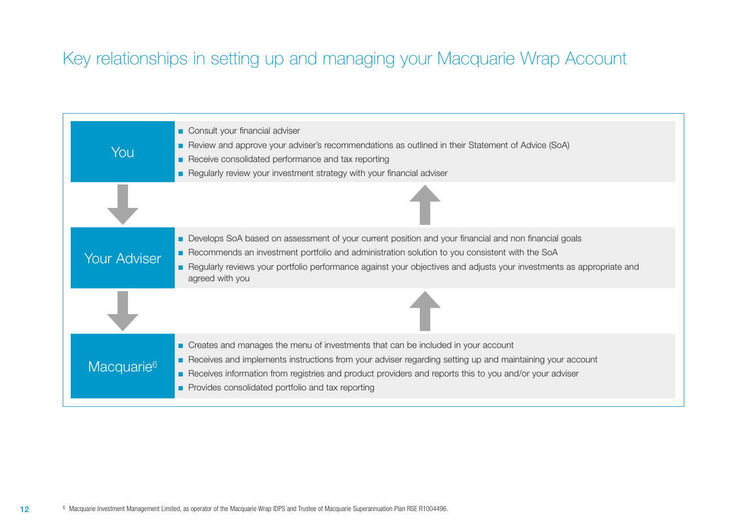# Key relationships in setting up and managing your Macquarie Wrap Account

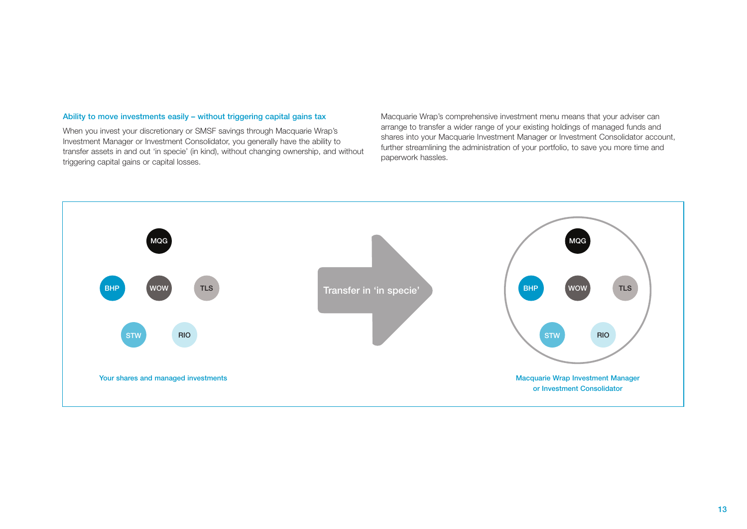#### Ability to move investments easily – without triggering capital gains tax

When you invest your discretionary or SMSF savings through Macquarie Wrap's Investment Manager or Investment Consolidator, you generally have the ability to transfer assets in and out 'in specie' (in kind), without changing ownership, and without triggering capital gains or capital losses.

Macquarie Wrap's comprehensive investment menu means that your adviser can arrange to transfer a wider range of your existing holdings of managed funds and shares into your Macquarie Investment Manager or Investment Consolidator account, further streamlining the administration of your portfolio, to save you more time and paperwork hassles.

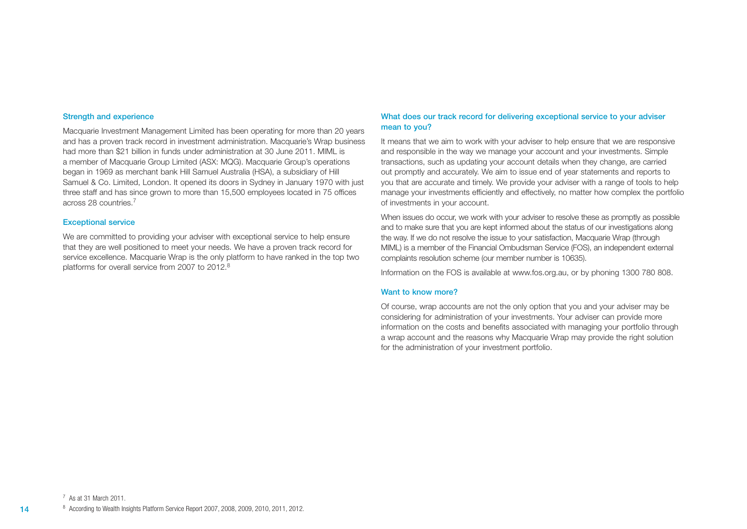#### Strength and experience

Macquarie Investment Management Limited has been operating for more than 20 years and has a proven track record in investment administration. Macquarie's Wrap business had more than \$21 billion in funds under administration at 30 June 2011. MIML is a member of Macquarie Group Limited (ASX: MQG). Macquarie Group's operations began in 1969 as merchant bank Hill Samuel Australia (HSA), a subsidiary of Hill Samuel & Co. Limited, London. It opened its doors in Sydney in January 1970 with just three staff and has since grown to more than 15,500 employees located in 75 offices across 28 countries.7

#### Exceptional service

We are committed to providing your adviser with exceptional service to help ensure that they are well positioned to meet your needs. We have a proven track record for service excellence. Macquarie Wrap is the only platform to have ranked in the top two platforms for overall service from 2007 to 2012.8

#### What does our track record for delivering exceptional service to your adviser mean to you?

It means that we aim to work with your adviser to help ensure that we are responsive and responsible in the way we manage your account and your investments. Simple transactions, such as updating your account details when they change, are carried out promptly and accurately. We aim to issue end of year statements and reports to you that are accurate and timely. We provide your adviser with a range of tools to help manage your investments efficiently and effectively, no matter how complex the portfolio of investments in your account.

When issues do occur, we work with your adviser to resolve these as promptly as possible and to make sure that you are kept informed about the status of our investigations along the way. If we do not resolve the issue to your satisfaction, Macquarie Wrap (through MIML) is a member of the Financial Ombudsman Service (FOS), an independent external complaints resolution scheme (our member number is 10635).

Information on the FOS is available at www.fos.org.au, or by phoning 1300 780 808.

#### Want to know more?

Of course, wrap accounts are not the only option that you and your adviser may be considering for administration of your investments. Your adviser can provide more information on the costs and benefits associated with managing your portfolio through a wrap account and the reasons why Macquarie Wrap may provide the right solution for the administration of your investment portfolio.

14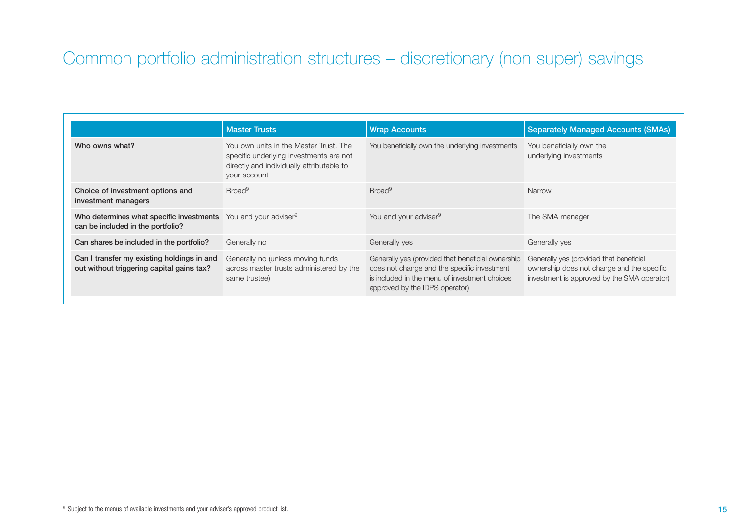# Common portfolio administration structures – discretionary (non super) savings

|                                                                                                                 | <b>Master Trusts</b>                                                                                                                           | <b>Wrap Accounts</b>                                                                                                                                                                | <b>Separately Managed Accounts (SMAs)</b>                                                                                            |
|-----------------------------------------------------------------------------------------------------------------|------------------------------------------------------------------------------------------------------------------------------------------------|-------------------------------------------------------------------------------------------------------------------------------------------------------------------------------------|--------------------------------------------------------------------------------------------------------------------------------------|
| Who owns what?                                                                                                  | You own units in the Master Trust. The<br>specific underlying investments are not<br>directly and individually attributable to<br>your account | You beneficially own the underlying investments                                                                                                                                     | You beneficially own the<br>underlying investments                                                                                   |
| Choice of investment options and<br>investment managers                                                         | Broad <sup>9</sup>                                                                                                                             | Broad <sup>9</sup>                                                                                                                                                                  | Narrow                                                                                                                               |
| Who determines what specific investments You and your adviser <sup>9</sup><br>can be included in the portfolio? |                                                                                                                                                | You and your adviser <sup>9</sup>                                                                                                                                                   | The SMA manager                                                                                                                      |
| Can shares be included in the portfolio?                                                                        | Generally no                                                                                                                                   | Generally yes                                                                                                                                                                       | Generally yes                                                                                                                        |
| Can I transfer my existing holdings in and<br>out without triggering capital gains tax?                         | Generally no (unless moving funds<br>across master trusts administered by the<br>same trustee)                                                 | Generally yes (provided that beneficial ownership<br>does not change and the specific investment<br>is included in the menu of investment choices<br>approved by the IDPS operator) | Generally yes (provided that beneficial<br>ownership does not change and the specific<br>investment is approved by the SMA operator) |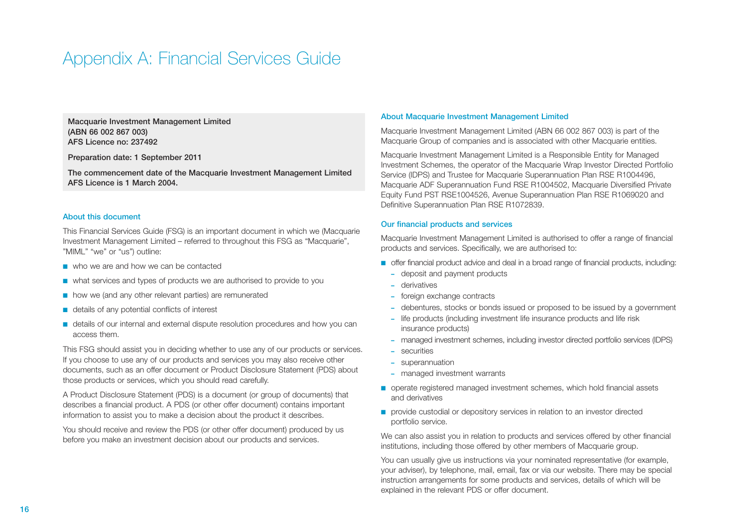## Appendix A: Financial Services Guide

Macquarie Investment Management Limited (ABN 66 002 867 003) AFS Licence no: 237492

Preparation date: 1 September 2011

The commencement date of the Macquarie Investment Management Limited AFS Licence is 1 March 2004.

#### About this document

This Financial Services Guide (FSG) is an important document in which we (Macquarie Investment Management Limited – referred to throughout this FSG as "Macquarie", "MIML" "we" or "us") outline:

- who we are and how we can be contacted
- what services and types of products we are authorised to provide to you
- how we (and any other relevant parties) are remunerated
- details of any potential conflicts of interest
- details of our internal and external dispute resolution procedures and how you can access them.

This FSG should assist you in deciding whether to use any of our products or services. If you choose to use any of our products and services you may also receive other documents, such as an offer document or Product Disclosure Statement (PDS) about those products or services, which you should read carefully.

A Product Disclosure Statement (PDS) is a document (or group of documents) that describes a financial product. A PDS (or other offer document) contains important information to assist you to make a decision about the product it describes.

You should receive and review the PDS (or other offer document) produced by us before you make an investment decision about our products and services.

#### About Macquarie Investment Management Limited

Macquarie Investment Management Limited (ABN 66 002 867 003) is part of the Macquarie Group of companies and is associated with other Macquarie entities.

Macquarie Investment Management Limited is a Responsible Entity for Managed Investment Schemes, the operator of the Macquarie Wrap Investor Directed Portfolio Service (IDPS) and Trustee for Macquarie Superannuation Plan RSE R1004496, Macquarie ADF Superannuation Fund RSE R1004502, Macquarie Diversified Private Equity Fund PST RSE1004526, Avenue Superannuation Plan RSE R1069020 and Definitive Superannuation Plan RSE R1072839.

#### Our financial products and services

Macquarie Investment Management Limited is authorised to offer a range of financial products and services. Specifically, we are authorised to:

- offer financial product advice and deal in a broad range of financial products, including:
	- **–** deposit and payment products
	- **–** derivatives
	- **–** foreign exchange contracts
	- **–** debentures, stocks or bonds issued or proposed to be issued by a government
	- **–** life products (including investment life insurance products and life risk insurance products)
	- **–** managed investment schemes, including investor directed portfolio services (IDPS)
	- **–** securities
	- **–** superannuation
	- **–** managed investment warrants
- operate registered managed investment schemes, which hold financial assets and derivatives
- provide custodial or depository services in relation to an investor directed portfolio service.

We can also assist you in relation to products and services offered by other financial institutions, including those offered by other members of Macquarie group.

You can usually give us instructions via your nominated representative (for example, your adviser), by telephone, mail, email, fax or via our website. There may be special instruction arrangements for some products and services, details of which will be explained in the relevant PDS or offer document.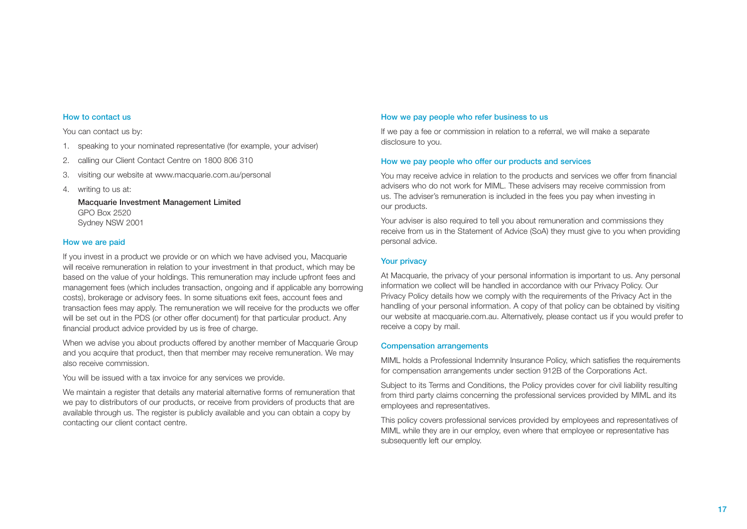#### How to contact us

You can contact us by:

- 1. speaking to your nominated representative (for example, your adviser)
- 2. calling our Client Contact Centre on 1800 806 310
- 3. visiting our website at www.macquarie.com.au/personal
- 4. writing to us at:

Macquarie Investment Management Limited GPO Box 2520 Sydney NSW 2001

#### How we are paid

If you invest in a product we provide or on which we have advised you, Macquarie will receive remuneration in relation to your investment in that product, which may be based on the value of your holdings. This remuneration may include upfront fees and management fees (which includes transaction, ongoing and if applicable any borrowing costs), brokerage or advisory fees. In some situations exit fees, account fees and transaction fees may apply. The remuneration we will receive for the products we offer will be set out in the PDS (or other offer document) for that particular product. Any financial product advice provided by us is free of charge.

When we advise you about products offered by another member of Macquarie Group and you acquire that product, then that member may receive remuneration. We may also receive commission.

You will be issued with a tax invoice for any services we provide.

We maintain a register that details any material alternative forms of remuneration that we pay to distributors of our products, or receive from providers of products that are available through us. The register is publicly available and you can obtain a copy by contacting our client contact centre.

#### How we pay people who refer business to us

If we pay a fee or commission in relation to a referral, we will make a separate disclosure to you.

#### How we pay people who offer our products and services

You may receive advice in relation to the products and services we offer from financial advisers who do not work for MIML. These advisers may receive commission from us. The adviser's remuneration is included in the fees you pay when investing in our products.

Your adviser is also required to tell you about remuneration and commissions they receive from us in the Statement of Advice (SoA) they must give to you when providing personal advice.

#### Your privacy

At Macquarie, the privacy of your personal information is important to us. Any personal information we collect will be handled in accordance with our Privacy Policy. Our Privacy Policy details how we comply with the requirements of the Privacy Act in the handling of your personal information. A copy of that policy can be obtained by visiting our website at macquarie.com.au. Alternatively, please contact us if you would prefer to receive a copy by mail.

#### Compensation arrangements

MIML holds a Professional Indemnity Insurance Policy, which satisfies the requirements for compensation arrangements under section 912B of the Corporations Act.

Subject to its Terms and Conditions, the Policy provides cover for civil liability resulting from third party claims concerning the professional services provided by MIML and its employees and representatives.

This policy covers professional services provided by employees and representatives of MIML while they are in our employ, even where that employee or representative has subsequently left our employ.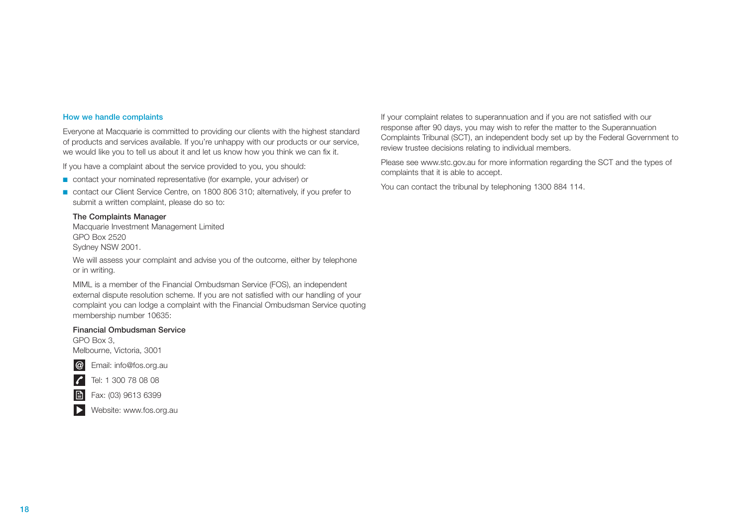#### How we handle complaints

Everyone at Macquarie is committed to providing our clients with the highest standard of products and services available. If you're unhappy with our products or our service, we would like you to tell us about it and let us know how you think we can fix it.

If you have a complaint about the service provided to you, you should:

- contact your nominated representative (for example, your adviser) or
- contact our Client Service Centre, on 1800 806 310; alternatively, if you prefer to submit a written complaint, please do so to:

#### The Complaints Manager

Macquarie Investment Management Limited GPO Box 2520 Sydney NSW 2001.

We will assess your complaint and advise you of the outcome, either by telephone or in writing.

 MIML is a member of the Financial Ombudsman Service (FOS), an independent external dispute resolution scheme. If you are not satisfied with our handling of your complaint you can lodge a complaint with the Financial Ombudsman Service quoting membership number 10635:

#### Financial Ombudsman Service

GPO Box 3, Melbourne, Victoria, 3001



 $\vert \mathcal{L} \vert$ 

Tel: 1 300 78 08 08

Fax: (03) 9613 6399



If your complaint relates to superannuation and if you are not satisfied with our response after 90 days, you may wish to refer the matter to the Superannuation Complaints Tribunal (SCT), an independent body set up by the Federal Government to review trustee decisions relating to individual members.

Please see www.stc.gov.au for more information regarding the SCT and the types of complaints that it is able to accept.

You can contact the tribunal by telephoning 1300 884 114.